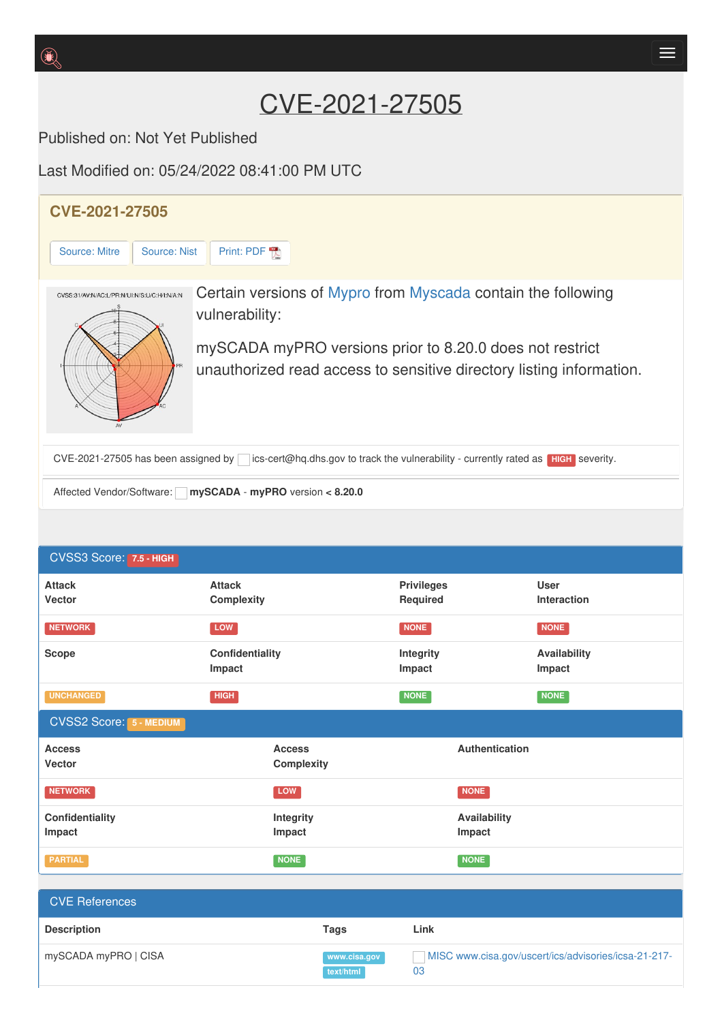# CVE-2021-27505

Published on: Not Yet Published

Last Modified on: 05/24/2022 08:41:00 PM UTC